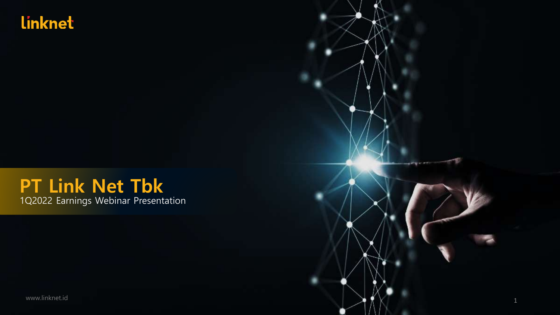### **Linknet**

### **PT Link Net Tbk** 1Q2022 Earnings Webinar Presentation

www.linknet.id  $\blacksquare$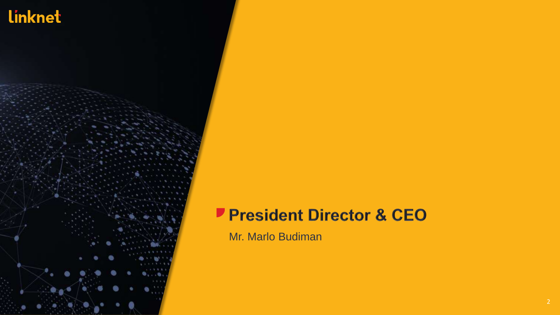

### President Director & CEO

Mr. Marlo Budiman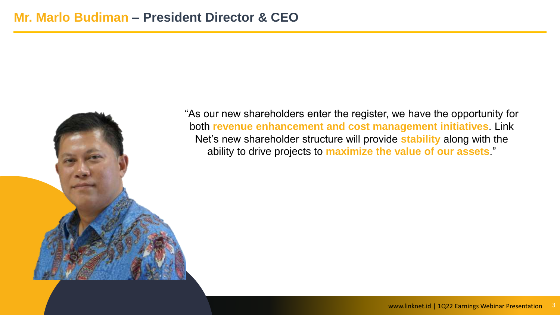

"As our new shareholders enter the register, we have the opportunity for both **revenue enhancement and cost management initiatives**. Link Net's new shareholder structure will provide **stability** along with the ability to drive projects to **maximize the value of our assets**."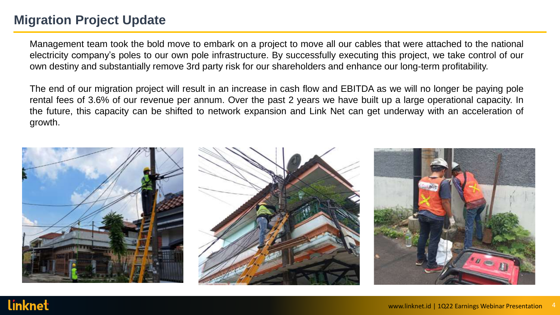### **Migration Project Update**

linknet

Management team took the bold move to embark on a project to move all our cables that were attached to the national electricity company's poles to our own pole infrastructure. By successfully executing this project, we take control of our own destiny and substantially remove 3rd party risk for our shareholders and enhance our long-term profitability.

The end of our migration project will result in an increase in cash flow and EBITDA as we will no longer be paying pole rental fees of 3.6% of our revenue per annum. Over the past 2 years we have built up a large operational capacity. In the future, this capacity can be shifted to network expansion and Link Net can get underway with an acceleration of growth.

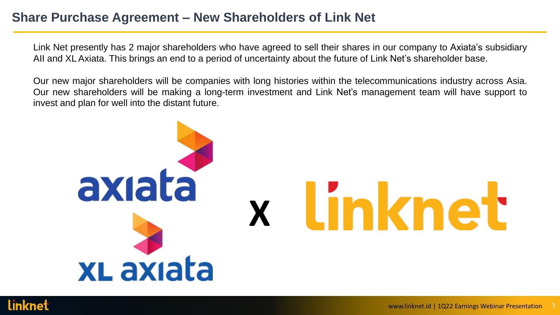#### **Share Purchase Agreement – New Shareholders of Link Net**

Link Net presently has 2 major shareholders who have agreed to sell their shares in our company to Axiata's subsidiary AII and XL Axiata. This brings an end to a period of uncertainty about the future of Link Net's shareholder base.

Our new major shareholders will be companies with long histories within the telecommunications industry across Asia. Our new shareholders will be making a long-term investment and Link Net's management team will have support to invest and plan for well into the distant future.



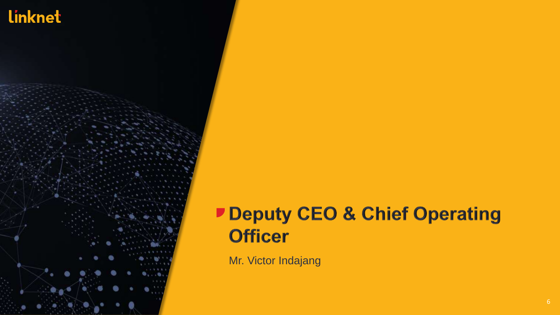

# Deputy CEO & Chief Operating **Officer**

Mr. Victor Indajang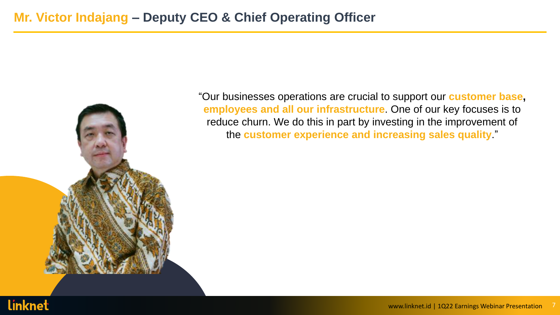

"Our businesses operations are crucial to support our **customer base, employees and all our infrastructure**. One of our key focuses is to reduce churn. We do this in part by investing in the improvement of the **customer experience and increasing sales quality**."

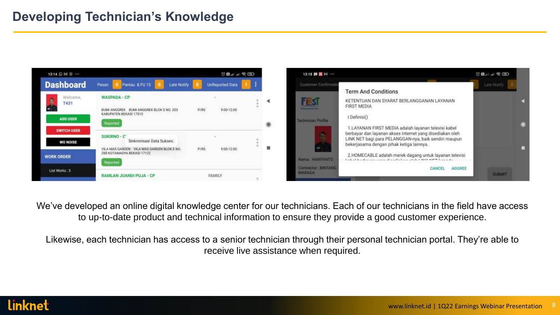### **Developing Technician's Knowledge**





We've developed an online digital knowledge center for our technicians. Each of our technicians in the field have access to up-to-date product and technical information to ensure they provide a good customer experience.

Likewise, each technician has access to a senior technician through their personal technician portal. They're able to receive live assistance when required.

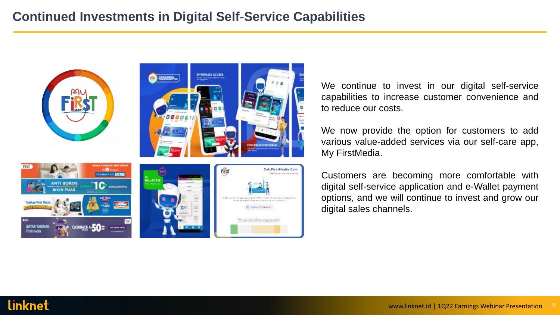### **Continued Investments in Digital Self-Service Capabilities**



We continue to invest in our digital self-service capabilities to increase customer convenience and to reduce our costs.

We now provide the option for customers to add various value-added services via our self-care app, My FirstMedia.

Customers are becoming more comfortable with digital self-service application and e-Wallet payment options, and we will continue to invest and grow our digital sales channels.

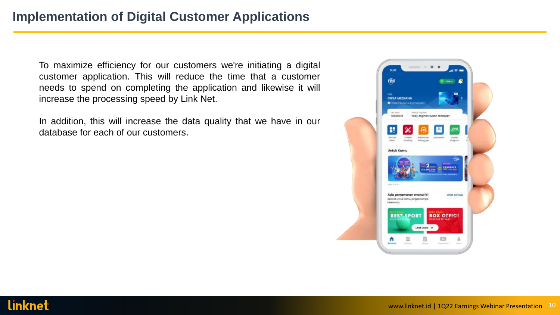To maximize efficiency for our customers we're initiating a digital customer application. This will reduce the time that a customer needs to spend on completing the application and likewise it will increase the processing speed by Link Net.

In addition, this will increase the data quality that we have in our database for each of our customers.

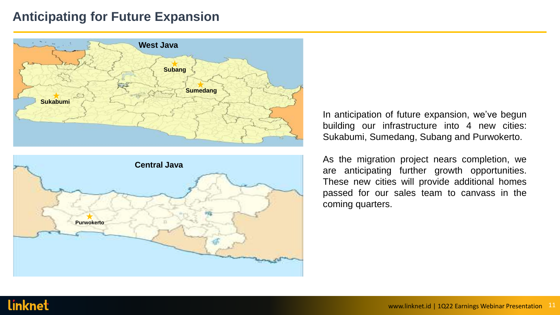#### **Anticipating for Future Expansion**





In anticipation of future expansion, we've begun building our infrastructure into 4 new cities: Sukabumi, Sumedang, Subang and Purwokerto.

As the migration project nears completion, we are anticipating further growth opportunities. These new cities will provide additional homes passed for our sales team to canvass in the coming quarters.

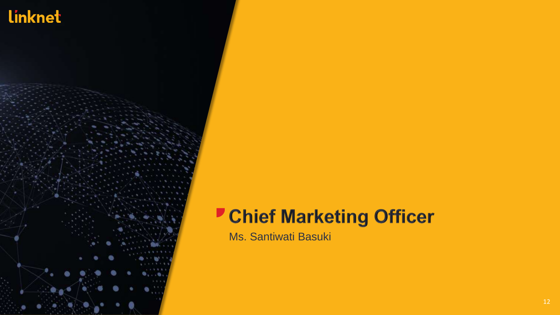

# **Chief Marketing Officer**

Ms. Santiwati Basuki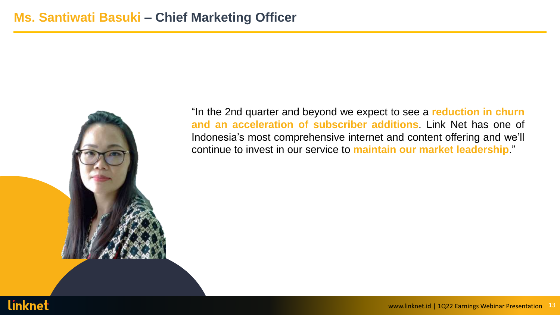

"In the 2nd quarter and beyond we expect to see a **reduction in churn and an acceleration of subscriber additions**. Link Net has one of Indonesia's most comprehensive internet and content offering and we'll continue to invest in our service to **maintain our market leadership**."

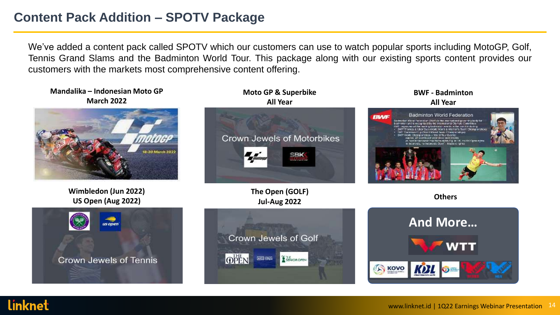### **Content Pack Addition – SPOTV Package**

linknet

We've added a content pack called SPOTV which our customers can use to watch popular sports including MotoGP, Golf, Tennis Grand Slams and the Badminton World Tour. This package along with our existing sports content provides our customers with the markets most comprehensive content offering.

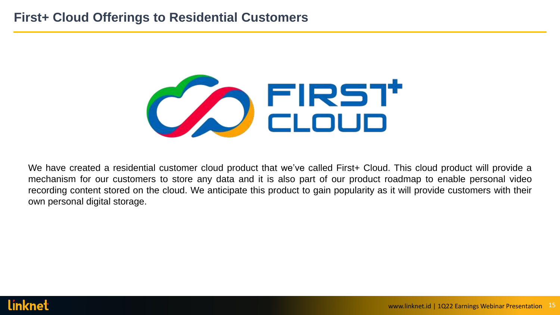### **First+ Cloud Offerings to Residential Customers**



We have created a residential customer cloud product that we've called First+ Cloud. This cloud product will provide a mechanism for our customers to store any data and it is also part of our product roadmap to enable personal video recording content stored on the cloud. We anticipate this product to gain popularity as it will provide customers with their own personal digital storage.

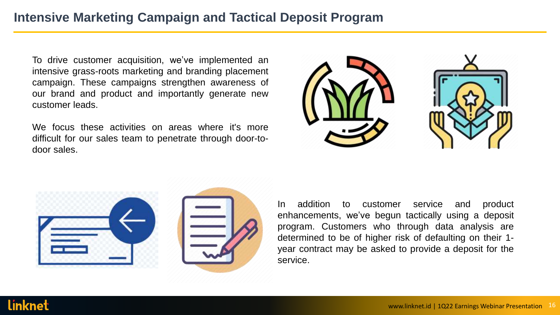### **Intensive Marketing Campaign and Tactical Deposit Program**

To drive customer acquisition, we've implemented an intensive grass-roots marketing and branding placement campaign. These campaigns strengthen awareness of our brand and product and importantly generate new customer leads.

We focus these activities on areas where it's more difficult for our sales team to penetrate through door-todoor sales.





In addition to customer service and product enhancements, we've begun tactically using a deposit program. Customers who through data analysis are determined to be of higher risk of defaulting on their 1 year contract may be asked to provide a deposit for the service.

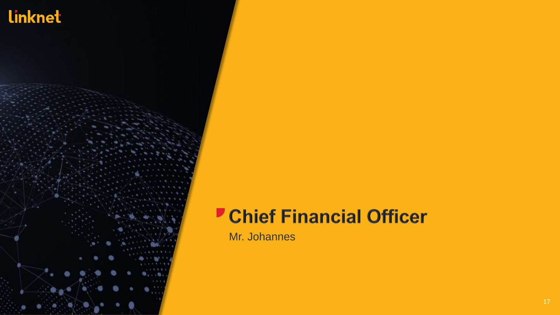

## **Chief Financial Officer**

Mr. Johannes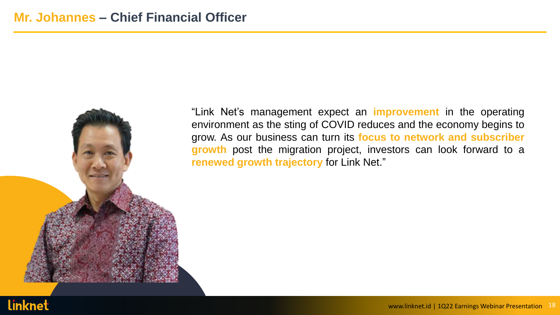

"Link Net's management expect an **improvement** in the operating environment as the sting of COVID reduces and the economy begins to grow. As our business can turn its **focus to network and subscriber growth** post the migration project, investors can look forward to a **renewed growth trajectory** for Link Net."

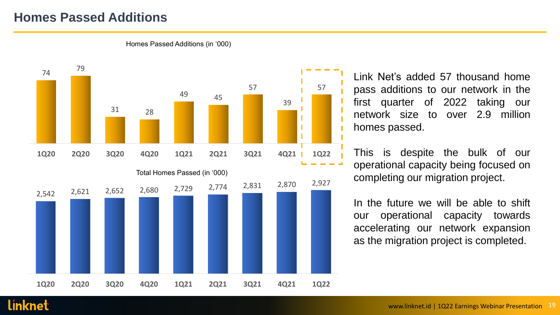### **Homes Passed Additions**



Homes Passed Additions (in '000)

Link Net's added 57 thousand home pass additions to our network in the first quarter of 2022 taking our network size to over 2.9 million homes passed.

This is despite the bulk of our operational capacity being focused on completing our migration project.

In the future we will be able to shift our operational capacity towards accelerating our network expansion as the migration project is completed.

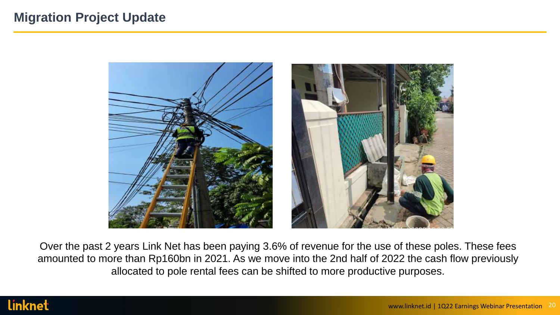### **Migration Project Update**



Over the past 2 years Link Net has been paying 3.6% of revenue for the use of these poles. These fees amounted to more than Rp160bn in 2021. As we move into the 2nd half of 2022 the cash flow previously allocated to pole rental fees can be shifted to more productive purposes.

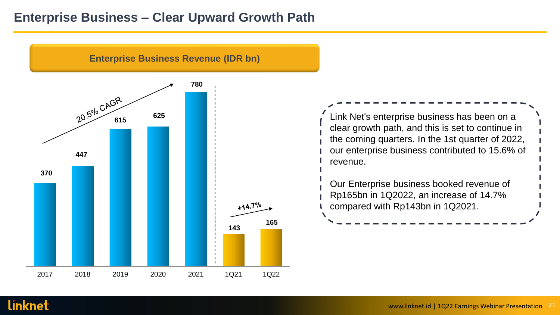#### **Enterprise Business – Clear Upward Growth Path**



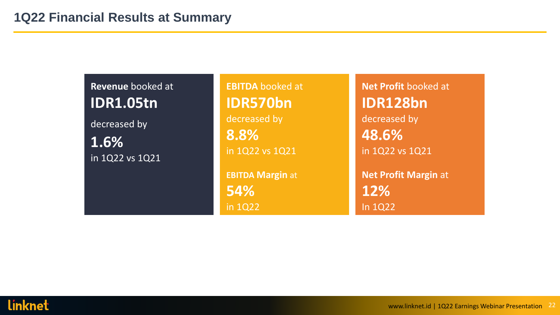**Revenue** booked at **IDR1.05tn** decreased by **1.6%** in 1Q22 vs 1Q21

**EBITDA** booked at **IDR570bn** decreased by **8.8%** in 1Q22 vs 1Q21

**EBITDA Margin** at **54%** in 1Q22

**Net Profit** booked at **IDR128bn** decreased by **48.6%** in 1Q22 vs 1Q21 **Net Profit Margin** at **12%** In 1Q22